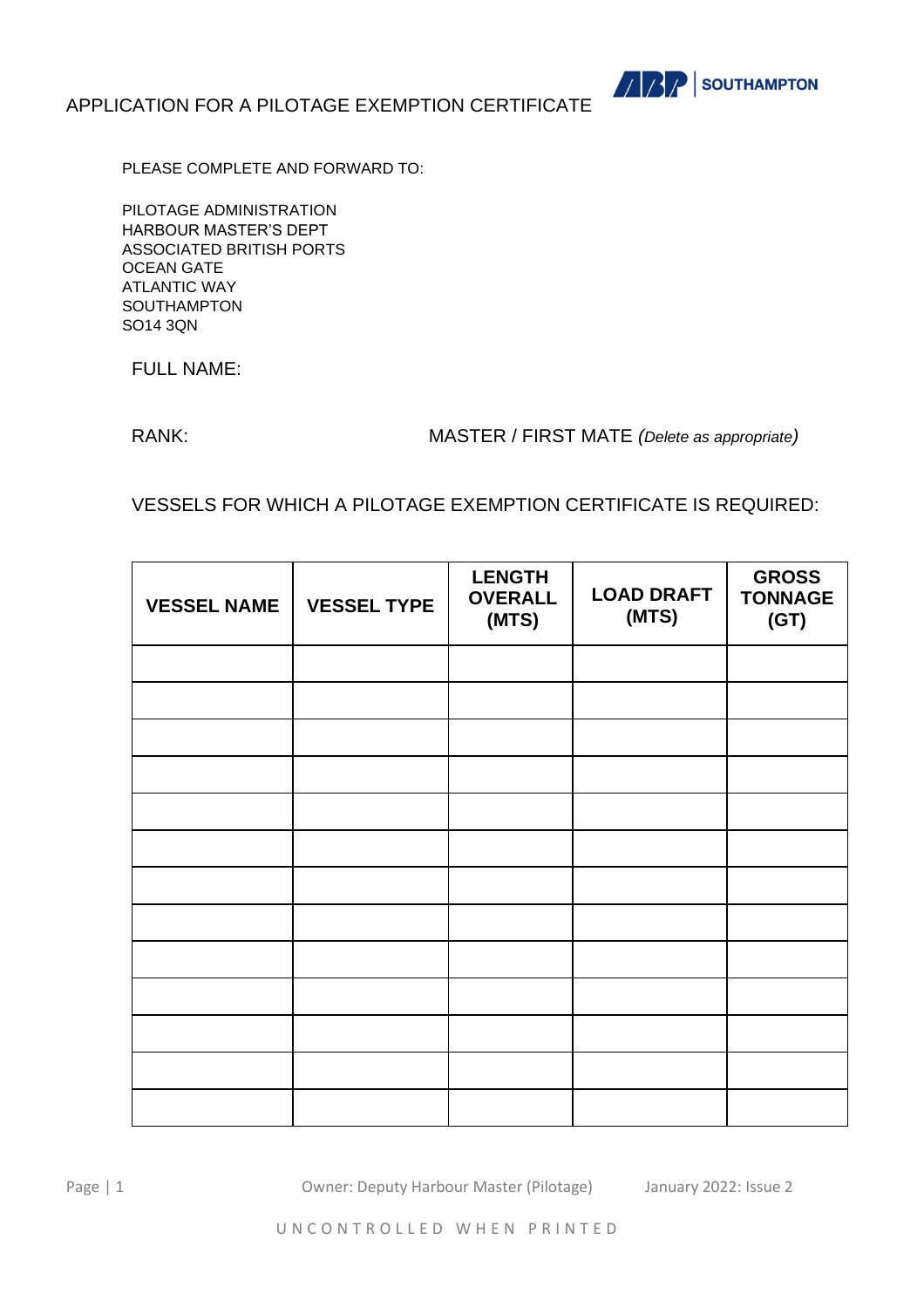

PLEASE COMPLETE AND FORWARD TO:

PILOTAGE ADMINISTRATION HARBOUR MASTER'S DEPT ASSOCIATED BRITISH PORTS OCEAN GATE ATLANTIC WAY SOUTHAMPTON SO14 3QN

FULL NAME:

RANK: MASTER / FIRST MATE *(Delete as appropriate)*

VESSELS FOR WHICH A PILOTAGE EXEMPTION CERTIFICATE IS REQUIRED:

| <b>VESSEL NAME</b> | <b>VESSEL TYPE</b> | <b>LENGTH</b><br><b>OVERALL</b><br>(MTS) | <b>LOAD DRAFT</b><br>(MTS) | <b>GROSS</b><br><b>TONNAGE</b><br>(GT) |
|--------------------|--------------------|------------------------------------------|----------------------------|----------------------------------------|
|                    |                    |                                          |                            |                                        |
|                    |                    |                                          |                            |                                        |
|                    |                    |                                          |                            |                                        |
|                    |                    |                                          |                            |                                        |
|                    |                    |                                          |                            |                                        |
|                    |                    |                                          |                            |                                        |
|                    |                    |                                          |                            |                                        |
|                    |                    |                                          |                            |                                        |
|                    |                    |                                          |                            |                                        |
|                    |                    |                                          |                            |                                        |
|                    |                    |                                          |                            |                                        |
|                    |                    |                                          |                            |                                        |
|                    |                    |                                          |                            |                                        |

Page | 1 Owner: Deputy Harbour Master (Pilotage) January 2022: Issue 2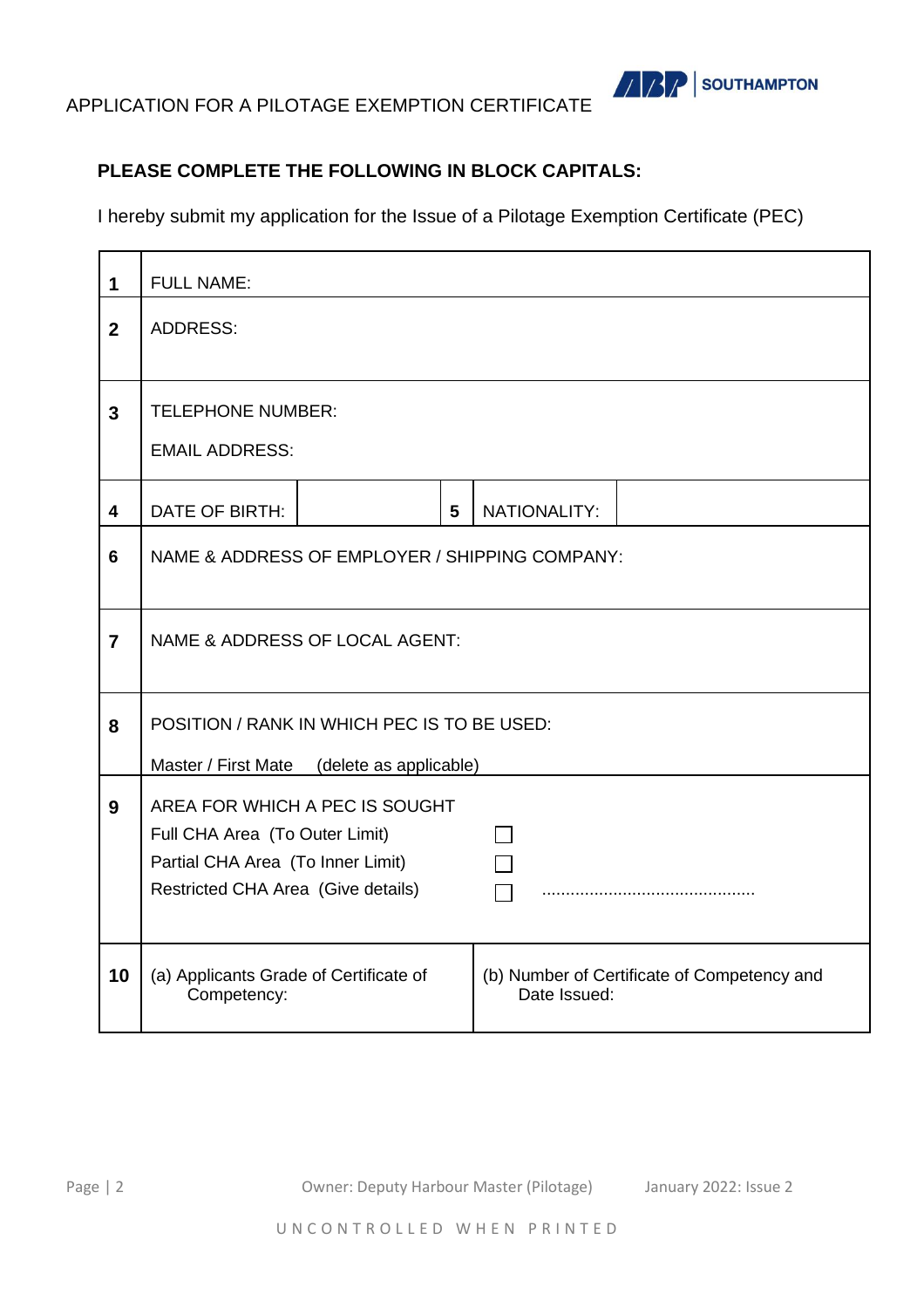

#### **PLEASE COMPLETE THE FOLLOWING IN BLOCK CAPITALS:**

I hereby submit my application for the Issue of a Pilotage Exemption Certificate (PEC)

| 1                       | <b>FULL NAME:</b>                                                                                                                           |  |   |              |                                             |
|-------------------------|---------------------------------------------------------------------------------------------------------------------------------------------|--|---|--------------|---------------------------------------------|
| $\overline{2}$          | <b>ADDRESS:</b>                                                                                                                             |  |   |              |                                             |
| $\overline{3}$          | <b>TELEPHONE NUMBER:</b><br><b>EMAIL ADDRESS:</b>                                                                                           |  |   |              |                                             |
| $\overline{\mathbf{4}}$ | DATE OF BIRTH:                                                                                                                              |  | 5 | NATIONALITY: |                                             |
| 6                       | NAME & ADDRESS OF EMPLOYER / SHIPPING COMPANY:                                                                                              |  |   |              |                                             |
| $\overline{7}$          | NAME & ADDRESS OF LOCAL AGENT:                                                                                                              |  |   |              |                                             |
| 8                       | POSITION / RANK IN WHICH PEC IS TO BE USED:<br>Master / First Mate<br>(delete as applicable)                                                |  |   |              |                                             |
| 9                       | AREA FOR WHICH A PEC IS SOUGHT<br>Full CHA Area (To Outer Limit)<br>Partial CHA Area (To Inner Limit)<br>Restricted CHA Area (Give details) |  |   |              |                                             |
| 10                      | (a) Applicants Grade of Certificate of<br>Competency:                                                                                       |  |   | Date Issued: | (b) Number of Certificate of Competency and |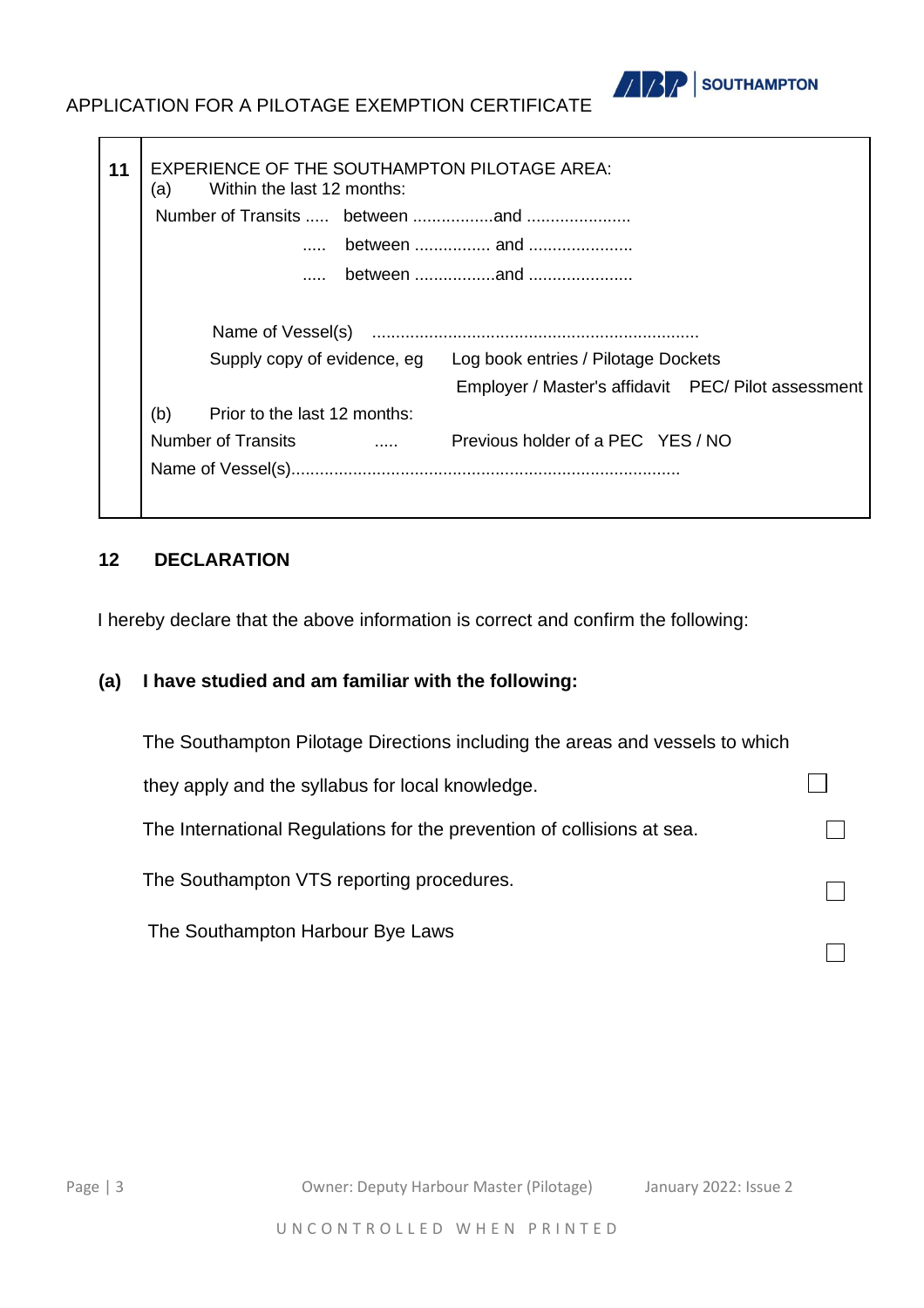

|     | Supply copy of evidence, eg  |                          | Log book entries / Pilotage Dockets<br>Employer / Master's affidavit  PEC/ Pilot assessment |  |
|-----|------------------------------|--------------------------|---------------------------------------------------------------------------------------------|--|
| (b) | Prior to the last 12 months: |                          |                                                                                             |  |
|     | <b>Number of Transits</b>    | <b>Service Contracts</b> | Previous holder of a PEC YES / NO                                                           |  |

#### **12 DECLARATION**

I hereby declare that the above information is correct and confirm the following:

### **(a) I have studied and am familiar with the following:**

| The Southampton Pilotage Directions including the areas and vessels to which |  |
|------------------------------------------------------------------------------|--|
| they apply and the syllabus for local knowledge.                             |  |
| The International Regulations for the prevention of collisions at sea.       |  |
| The Southampton VTS reporting procedures.                                    |  |
| The Southampton Harbour Bye Laws                                             |  |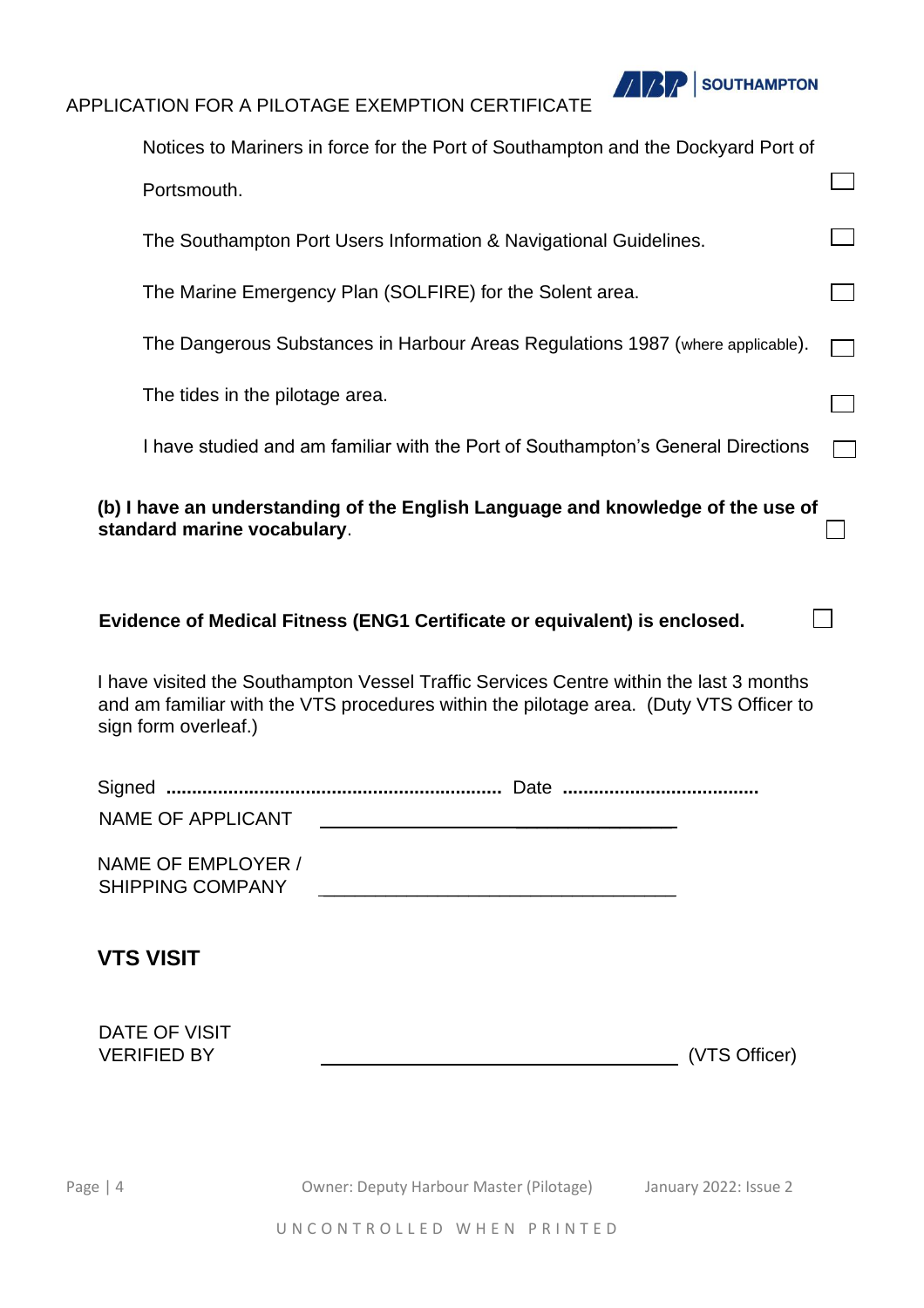

|                                               | Notices to Mariners in force for the Port of Southampton and the Dockyard Port of                                                                                                |                       |  |
|-----------------------------------------------|----------------------------------------------------------------------------------------------------------------------------------------------------------------------------------|-----------------------|--|
| Portsmouth.                                   |                                                                                                                                                                                  |                       |  |
|                                               | The Southampton Port Users Information & Navigational Guidelines.                                                                                                                |                       |  |
|                                               | The Marine Emergency Plan (SOLFIRE) for the Solent area.                                                                                                                         |                       |  |
|                                               | The Dangerous Substances in Harbour Areas Regulations 1987 (where applicable).                                                                                                   |                       |  |
| The tides in the pilotage area.               |                                                                                                                                                                                  |                       |  |
|                                               | I have studied and am familiar with the Port of Southampton's General Directions                                                                                                 |                       |  |
| standard marine vocabulary.                   | (b) I have an understanding of the English Language and knowledge of the use of                                                                                                  |                       |  |
|                                               | Evidence of Medical Fitness (ENG1 Certificate or equivalent) is enclosed.                                                                                                        |                       |  |
| sign form overleaf.)                          | I have visited the Southampton Vessel Traffic Services Centre within the last 3 months<br>and am familiar with the VTS procedures within the pilotage area. (Duty VTS Officer to |                       |  |
| Signed<br><b>NAME OF APPLICANT</b>            |                                                                                                                                                                                  |                       |  |
| NAME OF EMPLOYER /<br><b>SHIPPING COMPANY</b> |                                                                                                                                                                                  |                       |  |
| <b>VTS VISIT</b>                              |                                                                                                                                                                                  |                       |  |
| DATE OF VISIT<br><b>VERIFIED BY</b>           |                                                                                                                                                                                  | (VTS Officer)         |  |
|                                               |                                                                                                                                                                                  |                       |  |
| Page $ 4$                                     | Owner: Deputy Harbour Master (Pilotage)                                                                                                                                          | January 2022: Issue 2 |  |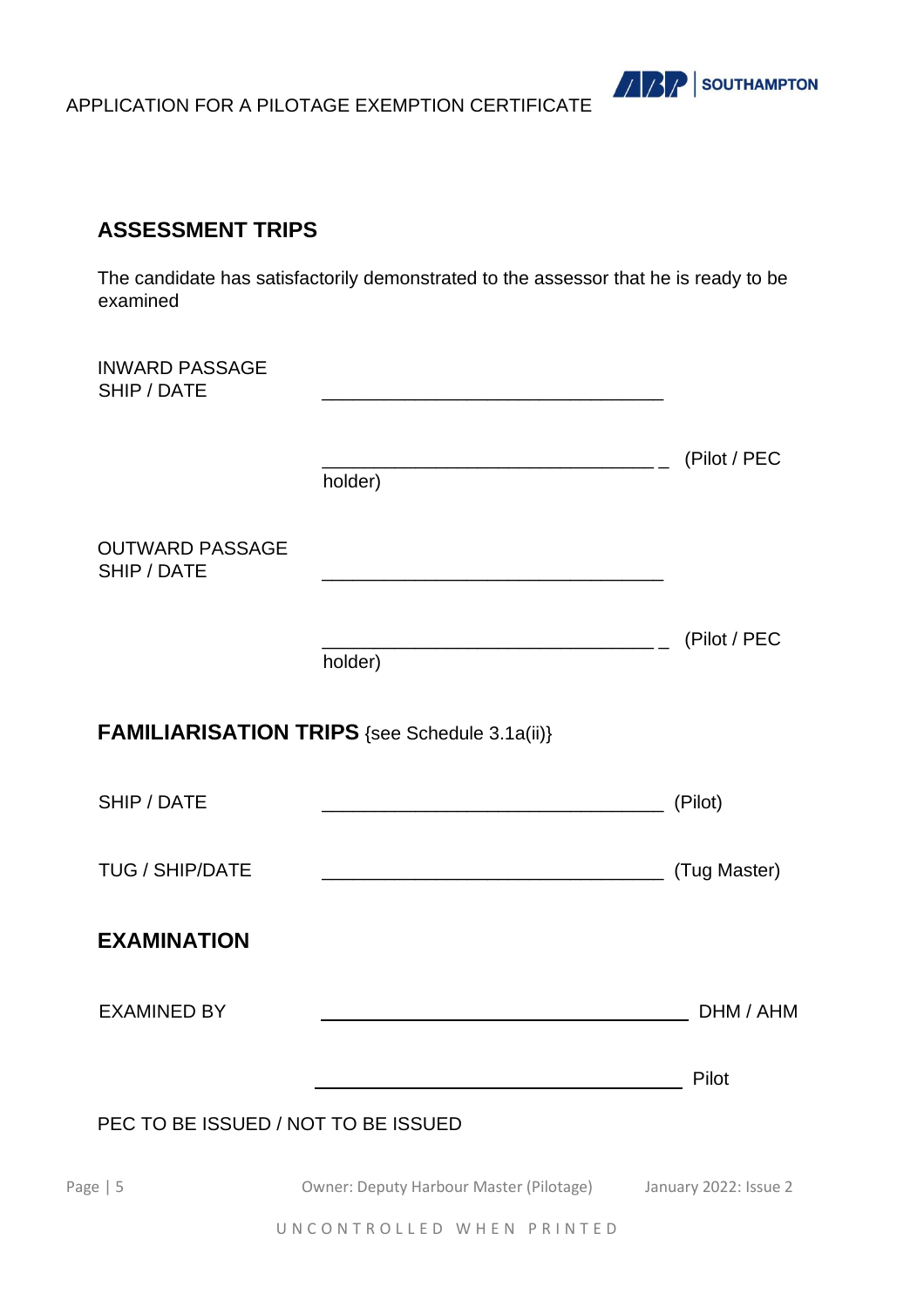

### **ASSESSMENT TRIPS**

The candidate has satisfactorily demonstrated to the assessor that he is ready to be examined

| <b>INWARD PASSAGE</b><br>SHIP / DATE  | the control of the control of the control of the control of the control of the control of |                       |
|---------------------------------------|-------------------------------------------------------------------------------------------|-----------------------|
|                                       | holder)                                                                                   | (Pilot / PEC          |
| <b>OUTWARD PASSAGE</b><br>SHIP / DATE |                                                                                           |                       |
|                                       | holder)                                                                                   | (Pilot / PEC          |
|                                       | <b>FAMILIARISATION TRIPS</b> {see Schedule 3.1a(ii)}                                      |                       |
| SHIP / DATE                           |                                                                                           | (Pilot)               |
| <b>TUG / SHIP/DATE</b>                |                                                                                           | (Tug Master)          |
| <b>EXAMINATION</b>                    |                                                                                           |                       |
| <b>EXAMINED BY</b>                    |                                                                                           | DHM / AHM             |
|                                       |                                                                                           | Pilot                 |
| PEC TO BE ISSUED / NOT TO BE ISSUED   |                                                                                           |                       |
| Page $  5$                            | Owner: Deputy Harbour Master (Pilotage)                                                   | January 2022: Issue 2 |

UNCONTROLLED WHEN PRINTED